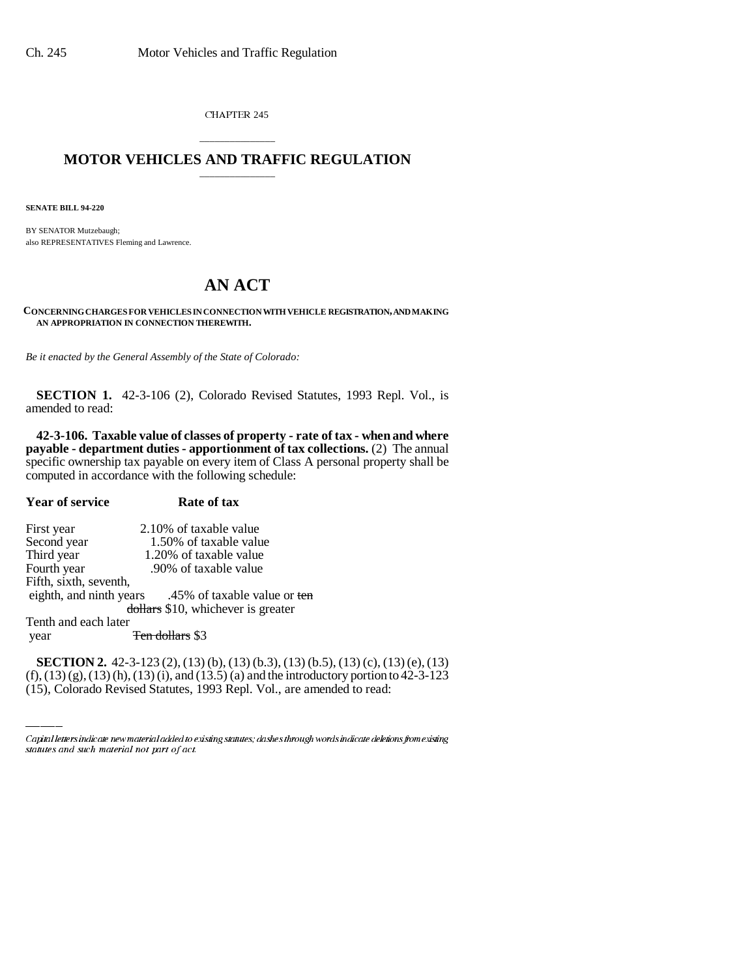CHAPTER 245

## \_\_\_\_\_\_\_\_\_\_\_\_\_\_\_ **MOTOR VEHICLES AND TRAFFIC REGULATION** \_\_\_\_\_\_\_\_\_\_\_\_\_\_\_

**SENATE BILL 94-220**

BY SENATOR Mutzebaugh; also REPRESENTATIVES Fleming and Lawrence.

# **AN ACT**

**CONCERNING CHARGES FOR VEHICLES IN CONNECTION WITH VEHICLE REGISTRATION, AND MAKING AN APPROPRIATION IN CONNECTION THEREWITH.**

*Be it enacted by the General Assembly of the State of Colorado:*

**SECTION 1.** 42-3-106 (2), Colorado Revised Statutes, 1993 Repl. Vol., is amended to read:

**42-3-106. Taxable value of classes of property - rate of tax - when and where payable - department duties - apportionment of tax collections.** (2) The annual specific ownership tax payable on every item of Class A personal property shall be computed in accordance with the following schedule:

**Year of service Rate of tax**

| First year              | 2.10% of taxable value             |
|-------------------------|------------------------------------|
| Second year             | 1.50% of taxable value             |
| Third year              | 1.20% of taxable value             |
| Fourth year             | .90% of taxable value              |
| Fifth, sixth, seventh,  |                                    |
| eighth, and ninth years | .45% of taxable value or ten       |
|                         | dollars \$10, whichever is greater |
| Tenth and each later    |                                    |
| year                    | <del>Ten dollars</del> \$3         |

**SECTION 2.** 42-3-123 (2), (13) (b), (13) (b.3), (13) (b.5), (13) (c), (13) (e), (13)  $(f), (13)(g), (13)(h), (13)(i),$  and  $(13.5)(a)$  and the introductory portion to 42-3-123 (15), Colorado Revised Statutes, 1993 Repl. Vol., are amended to read:

Capital letters indicate new material added to existing statutes; dashes through words indicate deletions from existing statutes and such material not part of act.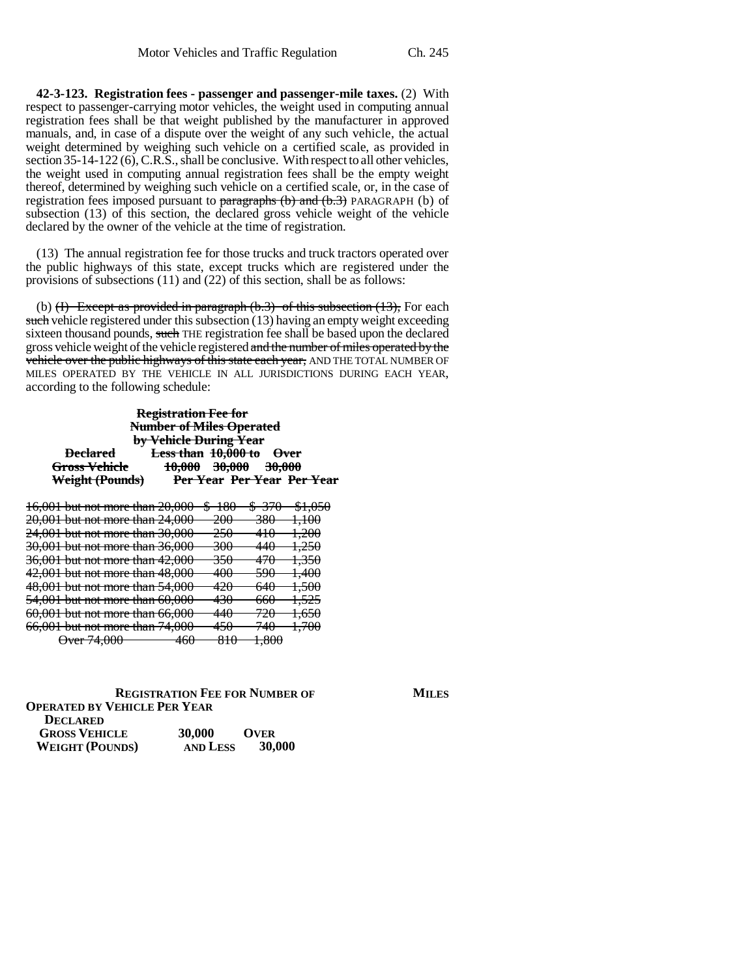**42-3-123. Registration fees - passenger and passenger-mile taxes.** (2) With respect to passenger-carrying motor vehicles, the weight used in computing annual registration fees shall be that weight published by the manufacturer in approved manuals, and, in case of a dispute over the weight of any such vehicle, the actual weight determined by weighing such vehicle on a certified scale, as provided in section 35-14-122 (6), C.R.S., shall be conclusive. With respect to all other vehicles, the weight used in computing annual registration fees shall be the empty weight thereof, determined by weighing such vehicle on a certified scale, or, in the case of registration fees imposed pursuant to  $\frac{1}{2}$  paragraphs (b) and (b.3) PARAGRAPH (b) of subsection (13) of this section, the declared gross vehicle weight of the vehicle declared by the owner of the vehicle at the time of registration.

(13) The annual registration fee for those trucks and truck tractors operated over the public highways of this state, except trucks which are registered under the provisions of subsections (11) and (22) of this section, shall be as follows:

(b)  $(H)$  Except as provided in paragraph  $(b.3)$  of this subsection  $(13)$ , For each such vehicle registered under this subsection (13) having an empty weight exceeding sixteen thousand pounds, such THE registration fee shall be based upon the declared gross vehicle weight of the vehicle registered and the number of miles operated by the vehicle over the public highways of this state each year, AND THE TOTAL NUMBER OF MILES OPERATED BY THE VEHICLE IN ALL JURISDICTIONS DURING EACH YEAR, according to the following schedule:

 **Registration Fee for Number of Miles Operated by Vehicle During Year<br><del>Declared</del> Eess than 10.000 to 10,000 Eess than 10,000 to Over**<br>**Gross Vehicle** 10,000 30,000 30,000  **Gross Vehicle 10,000 30,000 30,000** Per Year Per Year Per Year

| 16,001 but not more than 20,000   | \$ 180         |                | <del>\$370 \$1,050</del> |
|-----------------------------------|----------------|----------------|--------------------------|
| 20,001 but not more than 24,000   | <del>200</del> | $-380 - 1,100$ |                          |
| 24,001 but not more than 30,000   | つぐへ<br>ZJU     |                | <del>410 - 1,200</del>   |
| 30,001 but not more than 36,000   | <del>300</del> |                | <del>440 1,250</del>     |
| 36,001 but not more than 42,000   | <del>350</del> |                | <del>470 - 1,350</del>   |
| 42,001 but not more than 48,000   | 400            |                | $\frac{590}{1,400}$      |
| 48,001 but not more than 54,000   | <del>420</del> |                | <del>640 1,500</del>     |
| 54,001 but not more than 60,000   | <del>430</del> |                | <del>660 1.525</del>     |
| 60,001 but not more than 66,000   | <del>440</del> | $-720 - 1,650$ |                          |
|                                   |                | $-740 - 1,700$ |                          |
| 66,001 but not more than 74,000   | <del>450</del> |                |                          |
| $\theta$ over 74,000 $\theta$ 460 | $-810 - 1,800$ |                |                          |

| <b>REGISTRATION FEE FOR NUMBER OF</b> |             |                 |
|---------------------------------------|-------------|-----------------|
| <b>OPERATED BY VEHICLE PER YEAR</b>   |             |                 |
|                                       |             |                 |
| <b>30,000</b>                         | <b>OVER</b> |                 |
|                                       | 30.000      |                 |
|                                       |             | <b>AND LESS</b> |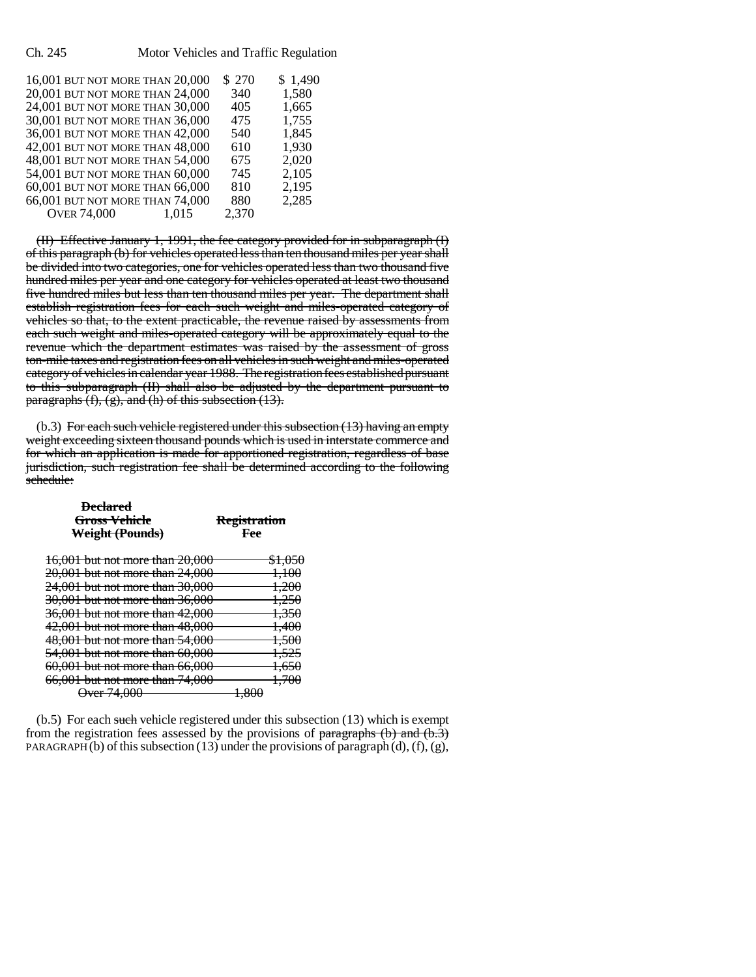| 16,001 BUT NOT MORE THAN 20,000 |       | \$270 | \$1,490 |
|---------------------------------|-------|-------|---------|
| 20,001 BUT NOT MORE THAN 24,000 |       | 340   | 1,580   |
| 24,001 BUT NOT MORE THAN 30,000 |       | 405   | 1,665   |
| 30,001 BUT NOT MORE THAN 36,000 |       | 475   | 1,755   |
| 36,001 BUT NOT MORE THAN 42,000 |       | 540   | 1,845   |
| 42,001 BUT NOT MORE THAN 48,000 |       | 610   | 1,930   |
| 48,001 BUT NOT MORE THAN 54,000 |       | 675   | 2,020   |
| 54,001 BUT NOT MORE THAN 60,000 |       | 745   | 2,105   |
| 60,001 BUT NOT MORE THAN 66,000 |       | 810   | 2,195   |
| 66,001 BUT NOT MORE THAN 74,000 |       | 880   | 2,285   |
| <b>OVER 74,000</b>              | 1.015 | 2,370 |         |
|                                 |       |       |         |

(II) Effective January 1, 1991, the fee category provided for in subparagraph (I) of this paragraph (b) for vehicles operated less than ten thousand miles per year shall be divided into two categories, one for vehicles operated less than two thousand five hundred miles per year and one category for vehicles operated at least two thousand five hundred miles but less than ten thousand miles per year. The department shall establish registration fees for each such weight and miles-operated category of vehicles so that, to the extent practicable, the revenue raised by assessments from each such weight and miles-operated category will be approximately equal to the revenue which the department estimates was raised by the assessment of gross ton-mile taxes and registration fees on all vehicles in such weight and miles-operated category of vehicles in calendar year 1988. The registration fees established pursuant to this subparagraph (II) shall also be adjusted by the department pursuant to paragraphs  $(f)$ ,  $(g)$ , and  $(h)$  of this subsection  $(13)$ .

(b.3) For each such vehicle registered under this subsection (13) having an empty weight exceeding sixteen thousand pounds which is used in interstate commerce and for which an application is made for apportioned registration, regardless of base jurisdiction, such registration fee shall be determined according to the following schedule:

| <b>Declared</b><br><del>Gross Vehicle</del><br>Weight (Pounds) | <b>Registration</b><br><b>Fee</b> |
|----------------------------------------------------------------|-----------------------------------|
| 16,001 but not more than 20,000                                | <del>\$1.050</del>                |
| <del>20,001 but not more than 24,000</del>                     | <del>1,100</del>                  |
| <del>24,001 but not more than 30,000</del>                     | <del>1.200</del>                  |
| <del>30,001 but not more than 36,000</del>                     | <del>1.250</del>                  |
| <del>36,001 but not more than 42,000</del>                     | <del>1.350</del>                  |
| 42,001 but not more than 48,000                                | <del>1.400</del>                  |
| 48,001 but not more than 54,000                                | <del>1.500</del>                  |
| <del>54,001 but not more than 60,000</del>                     | <del>1,525</del>                  |
| <del>60,001 but not more than 66,000</del>                     | <del>1.650</del>                  |
| <del>66,001 but not more than 74,000</del>                     | <del>1.700</del>                  |
| <del>Over 74.000</del>                                         |                                   |
|                                                                |                                   |

 $(b.5)$  For each such vehicle registered under this subsection  $(13)$  which is exempt from the registration fees assessed by the provisions of  $\frac{5}{2}$  paragraphs (b) and (b.3) PARAGRAPH (b) of this subsection (13) under the provisions of paragraph (d), (f), (g),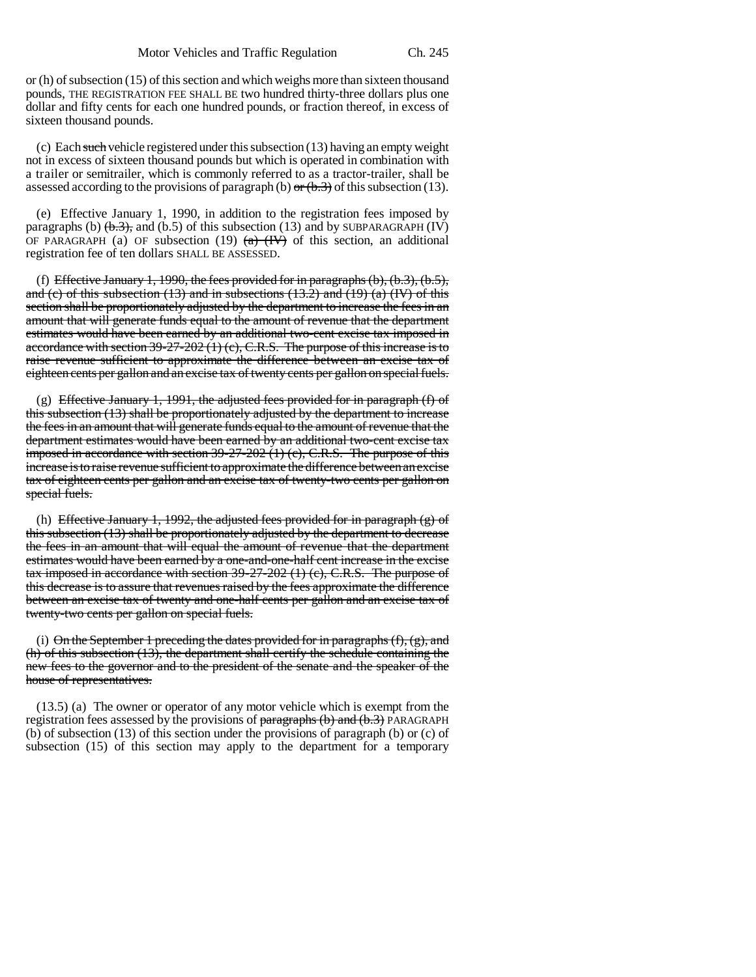or (h) of subsection (15) of this section and which weighs more than sixteen thousand pounds, THE REGISTRATION FEE SHALL BE two hundred thirty-three dollars plus one dollar and fifty cents for each one hundred pounds, or fraction thereof, in excess of sixteen thousand pounds.

(c) Each such vehicle registered under this subsection  $(13)$  having an empty weight not in excess of sixteen thousand pounds but which is operated in combination with a trailer or semitrailer, which is commonly referred to as a tractor-trailer, shall be assessed according to the provisions of paragraph (b)  $\sigma r(b.3)$  of this subsection (13).

(e) Effective January 1, 1990, in addition to the registration fees imposed by paragraphs (b)  $(\theta, \theta, 3)$ , and (b.5) of this subsection (13) and by SUBPARAGRAPH (IV) OF PARAGRAPH (a) OF subsection (19)  $\overline{a}$   $\overline{(IV)}$  of this section, an additional registration fee of ten dollars SHALL BE ASSESSED.

(f) Effective January 1, 1990, the fees provided for in paragraphs (b), (b.3), (b.5), and (c) of this subsection  $(13)$  and in subsections  $(13.2)$  and  $(19)$   $(a)$   $(W)$  of this section shall be proportionately adjusted by the department to increase the fees in an amount that will generate funds equal to the amount of revenue that the department estimates would have been earned by an additional two-cent excise tax imposed in accordance with section  $39-27-202$  (1) (c), C.R.S. The purpose of this increase is to raise revenue sufficient to approximate the difference between an excise tax of eighteen cents per gallon and an excise tax of twenty cents per gallon on special fuels.

(g) Effective January 1, 1991, the adjusted fees provided for in paragraph  $(f)$  of this subsection (13) shall be proportionately adjusted by the department to increase the fees in an amount that will generate funds equal to the amount of revenue that the department estimates would have been earned by an additional two-cent excise tax imposed in accordance with section  $39-27-202$  (1) (c), C.R.S. The purpose of this increase is to raise revenue sufficient to approximate the difference between an excise tax of eighteen cents per gallon and an excise tax of twenty-two cents per gallon on special fuels.

(h) Effective January 1, 1992, the adjusted fees provided for in paragraph  $(g)$  of this subsection (13) shall be proportionately adjusted by the department to decrease the fees in an amount that will equal the amount of revenue that the department estimates would have been earned by a one-and-one-half cent increase in the excise tax imposed in accordance with section  $39-27-202$  (1) (c), C.R.S. The purpose of this decrease is to assure that revenues raised by the fees approximate the difference between an excise tax of twenty and one-half cents per gallon and an excise tax of twenty-two cents per gallon on special fuels.

(i) On the September 1 preceding the dates provided for in paragraphs  $(f)$ ,  $(g)$ , and (h) of this subsection (13), the department shall certify the schedule containing the new fees to the governor and to the president of the senate and the speaker of the house of representatives.

(13.5) (a) The owner or operator of any motor vehicle which is exempt from the registration fees assessed by the provisions of paragraphs  $(b)$  and  $(b.3)$  PARAGRAPH (b) of subsection (13) of this section under the provisions of paragraph (b) or (c) of subsection (15) of this section may apply to the department for a temporary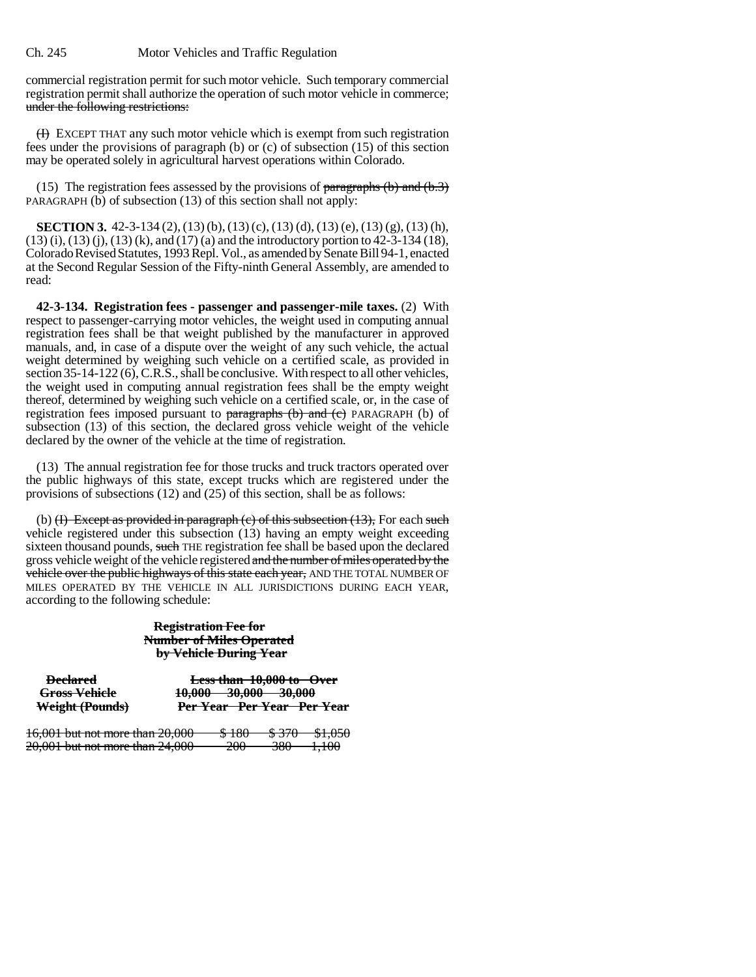commercial registration permit for such motor vehicle. Such temporary commercial registration permit shall authorize the operation of such motor vehicle in commerce; under the following restrictions:

 $(H)$  EXCEPT THAT any such motor vehicle which is exempt from such registration fees under the provisions of paragraph (b) or (c) of subsection (15) of this section may be operated solely in agricultural harvest operations within Colorado.

(15) The registration fees assessed by the provisions of paragraphs (b) and  $(b,3)$ PARAGRAPH (b) of subsection (13) of this section shall not apply:

**SECTION 3.** 42-3-134 (2), (13) (b), (13) (c), (13) (d), (13) (e), (13) (g), (13) (h),  $(13)$  (i),  $(13)$  (i),  $(13)$  (k), and  $(17)$  (a) and the introductory portion to 42-3-134 (18), Colorado Revised Statutes, 1993 Repl. Vol., as amended by Senate Bill 94-1, enacted at the Second Regular Session of the Fifty-ninth General Assembly, are amended to read:

**42-3-134. Registration fees - passenger and passenger-mile taxes.** (2) With respect to passenger-carrying motor vehicles, the weight used in computing annual registration fees shall be that weight published by the manufacturer in approved manuals, and, in case of a dispute over the weight of any such vehicle, the actual weight determined by weighing such vehicle on a certified scale, as provided in section 35-14-122 (6), C.R.S., shall be conclusive. With respect to all other vehicles, the weight used in computing annual registration fees shall be the empty weight thereof, determined by weighing such vehicle on a certified scale, or, in the case of registration fees imposed pursuant to paragraphs (b) and (c) PARAGRAPH (b) of subsection (13) of this section, the declared gross vehicle weight of the vehicle declared by the owner of the vehicle at the time of registration.

(13) The annual registration fee for those trucks and truck tractors operated over the public highways of this state, except trucks which are registered under the provisions of subsections (12) and (25) of this section, shall be as follows:

(b)  $(H)$  Except as provided in paragraph  $(c)$  of this subsection  $(13)$ , For each such vehicle registered under this subsection (13) having an empty weight exceeding sixteen thousand pounds, such THE registration fee shall be based upon the declared gross vehicle weight of the vehicle registered and the number of miles operated by the vehicle over the public highways of this state each year, AND THE TOTAL NUMBER OF MILES OPERATED BY THE VEHICLE IN ALL JURISDICTIONS DURING EACH YEAR, according to the following schedule:

### **Registration Fee for Number of Miles Operated by Vehicle During Year**

| <b>Declared</b>      | <b>Less than 10,000 to Over</b> |
|----------------------|---------------------------------|
| <b>Gross Vehicle</b> | $10,000$ $30,000$ $30,000$      |
| Weight (Pounds)      | Per Year Per Year Per Year      |

16,001 but not more than 20,000 \$ 180 \$ 370 \$1,050<br>20,001 but not more than 24,000 200 380 1,100 20,001 but not more than 24,000 200 380 1,100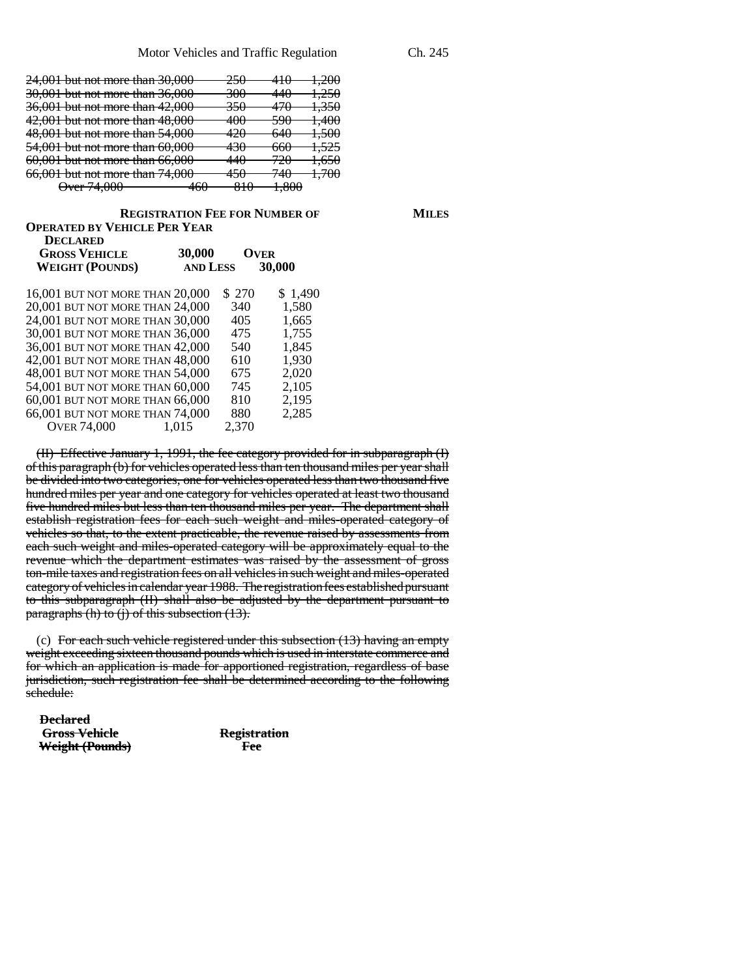| <del>24,001 but not more than 30,000</del> |     | າເດ                 | 410   |                  |
|--------------------------------------------|-----|---------------------|-------|------------------|
|                                            |     | ZJU                 | 70    | <del>1,200</del> |
| <del>30,001 but not more than 36,000</del> |     | 200                 | 44 A  | 1.25 $\alpha$    |
|                                            |     | JUU                 | 440   | 1,2JU            |
| <del>36,001 but not more than 42,000</del> |     | ってへ                 | 170   | <del>1,350</del> |
|                                            |     | IJU                 | 47 U  |                  |
| <del>42,001 but not more than 48,000</del> |     | $\Delta \Omega$     | 500   | 1,400            |
|                                            |     | 400                 | JJU   |                  |
| 48,001 but not more than 54,000            |     | 40 A                | 640   | <del>1,500</del> |
|                                            |     | ቱ∠∪                 | ᠊ᠣᡃ᠇ᠣ |                  |
| <del>54,001 but not more than 60,000</del> |     | 42 O                | 74 A  | <del>1.525</del> |
|                                            |     | 450                 | ᠊ᡂ    |                  |
| <del>60,001 but not more than 66,000</del> |     | $\Delta$ A $\Omega$ | 720   | <del>1,650</del> |
|                                            |     | 440                 | 720   |                  |
| <del>66,001 but not more than 74,000</del> |     | 15 Q                | 710   | <del>1.700</del> |
|                                            |     | 490                 | 740   |                  |
| $\Delta_{\text{max}}$ 74.000               | 160 | 01 <sub>0</sub>     | 1. OM |                  |

Over 74,000 460 810 1,800

### **REGISTRATION FEE FOR NUMBER OF MILES OPERATED BY VEHICLE PER YEAR DECLARED**

| 30,000                          |        | ЕR<br>30,000 |
|---------------------------------|--------|--------------|
| 16,001 BUT NOT MORE THAN 20,000 | \$ 270 | \$1,490      |
| 20,001 BUT NOT MORE THAN 24,000 | 340    | 1,580        |
| 24,001 BUT NOT MORE THAN 30,000 | 405    | 1,665        |
| 30,001 BUT NOT MORE THAN 36,000 | 475    | 1,755        |
| 36,001 BUT NOT MORE THAN 42,000 | 540    | 1,845        |
| 42,001 BUT NOT MORE THAN 48,000 | 610    | 1,930        |
| 48,001 BUT NOT MORE THAN 54,000 | 675    | 2,020        |
| 54,001 BUT NOT MORE THAN 60,000 | 745    | 2,105        |
| 60,001 BUT NOT MORE THAN 66,000 | 810    | 2,195        |
| 66,001 BUT NOT MORE THAN 74,000 | 880    | 2,285        |
| 1.015                           | 2,370  |              |
|                                 |        | AND LESS     |

(II) Effective January 1, 1991, the fee category provided for in subparagraph (I) of this paragraph (b) for vehicles operated less than ten thousand miles per year shall be divided into two categories, one for vehicles operated less than two thousand five hundred miles per year and one category for vehicles operated at least two thousand five hundred miles but less than ten thousand miles per year. The department shall establish registration fees for each such weight and miles-operated category of vehicles so that, to the extent practicable, the revenue raised by assessments from each such weight and miles-operated category will be approximately equal to the revenue which the department estimates was raised by the assessment of gross ton-mile taxes and registration fees on all vehicles in such weight and miles-operated category of vehicles in calendar year 1988. The registration fees established pursuant to this subparagraph (II) shall also be adjusted by the department pursuant to paragraphs (h) to (j) of this subsection  $(13)$ .

(c) For each such vehicle registered under this subsection (13) having an empty weight exceeding sixteen thousand pounds which is used in interstate commerce and for which an application is made for apportioned registration, regardless of base jurisdiction, such registration fee shall be determined according to the following schedule:

**Declared Gross Vehicle Registration Weight (Pounds)**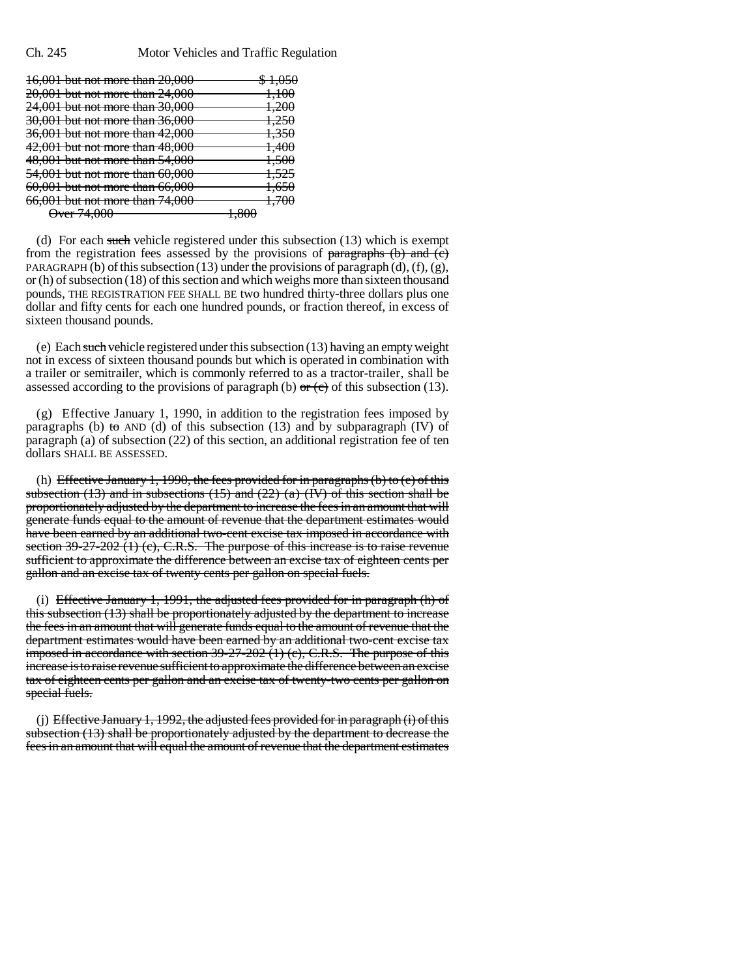| 16,001 but not more than 20,000     |                  | <del>\$1.050</del> |
|-------------------------------------|------------------|--------------------|
| 20,001 but not more than 24,000     |                  | <del>1.100</del>   |
| 24,001 but not more than 30,000     |                  | <del>1.200</del>   |
| 30,001 but not more than 36,000     |                  | <del>1.250</del>   |
| 36,001 but not more than 42,000     |                  | <del>1.350</del>   |
| 42,001 but not more than 48,000     |                  | <del>1.400</del>   |
| 48,001 but not more than 54,000     |                  | <del>1.500</del>   |
| $54,001$ but not more than $60,000$ |                  | <del>1,525</del>   |
| 60,001 but not more than 66,000     |                  | <del>1.650</del>   |
| 66,001 but not more than 74,000     |                  | <del>1.700</del>   |
| <del>Over 74,000</del>              | <del>1.800</del> |                    |

(d) For each such vehicle registered under this subsection  $(13)$  which is exempt from the registration fees assessed by the provisions of paragraphs  $(b)$  and  $(c)$ PARAGRAPH (b) of this subsection (13) under the provisions of paragraph (d), (f), (g), or (h) of subsection (18) of this section and which weighs more than sixteen thousand pounds, THE REGISTRATION FEE SHALL BE two hundred thirty-three dollars plus one dollar and fifty cents for each one hundred pounds, or fraction thereof, in excess of sixteen thousand pounds.

(e) Each such vehicle registered under this subsection  $(13)$  having an empty weight not in excess of sixteen thousand pounds but which is operated in combination with a trailer or semitrailer, which is commonly referred to as a tractor-trailer, shall be assessed according to the provisions of paragraph (b)  $\sigma$  (c) of this subsection (13).

(g) Effective January 1, 1990, in addition to the registration fees imposed by paragraphs (b) to AND (d) of this subsection (13) and by subparagraph (IV) of paragraph (a) of subsection (22) of this section, an additional registration fee of ten dollars SHALL BE ASSESSED.

(h) Effective January 1, 1990, the fees provided for in paragraphs  $(b)$  to  $(e)$  of this subsection  $(13)$  and in subsections  $(15)$  and  $(22)$   $(a)$   $(W)$  of this section shall be proportionately adjusted by the department to increase the fees in an amount that will generate funds equal to the amount of revenue that the department estimates would have been earned by an additional two-cent excise tax imposed in accordance with section 39-27-202 (1) (c), C.R.S. The purpose of this increase is to raise revenue sufficient to approximate the difference between an excise tax of eighteen cents per gallon and an excise tax of twenty cents per gallon on special fuels.

(i) Effective January 1, 1991, the adjusted fees provided for in paragraph (h) of this subsection (13) shall be proportionately adjusted by the department to increase the fees in an amount that will generate funds equal to the amount of revenue that the department estimates would have been earned by an additional two-cent excise tax imposed in accordance with section  $39-27-202$  (1) (c), C.R.S. The purpose of this increase is to raise revenue sufficient to approximate the difference between an excise tax of eighteen cents per gallon and an excise tax of twenty-two cents per gallon on special fuels.

(j) Effective January 1, 1992, the adjusted fees provided for in paragraph (i) of this subsection (13) shall be proportionately adjusted by the department to decrease the fees in an amount that will equal the amount of revenue that the department estimates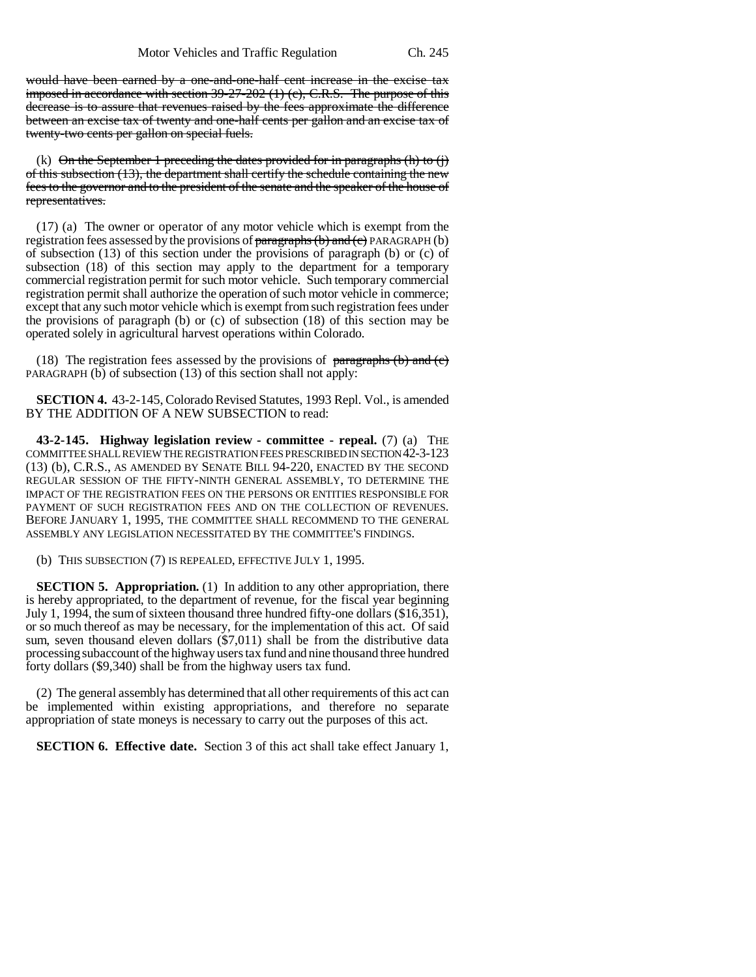would have been earned by a one-and-one-half cent increase in the excise tax imposed in accordance with section 39-27-202 (1) (c), C.R.S. The purpose of this decrease is to assure that revenues raised by the fees approximate the difference between an excise tax of twenty and one-half cents per gallon and an excise tax of twenty-two cents per gallon on special fuels.

(k) On the September 1 preceding the dates provided for in paragraphs  $(h)$  to  $(j)$ of this subsection (13), the department shall certify the schedule containing the new fees to the governor and to the president of the senate and the speaker of the house of representatives.

(17) (a) The owner or operator of any motor vehicle which is exempt from the registration fees assessed by the provisions of paragraphs (b) and (c) PARAGRAPH (b) of subsection  $(13)$  of this section under the provisions of paragraph (b) or  $(c)$  of subsection (18) of this section may apply to the department for a temporary commercial registration permit for such motor vehicle. Such temporary commercial registration permit shall authorize the operation of such motor vehicle in commerce; except that any such motor vehicle which is exempt from such registration fees under the provisions of paragraph (b) or (c) of subsection (18) of this section may be operated solely in agricultural harvest operations within Colorado.

(18) The registration fees assessed by the provisions of  $\frac{1}{2}$  paragraphs (b) and (c) PARAGRAPH (b) of subsection (13) of this section shall not apply:

**SECTION 4.** 43-2-145, Colorado Revised Statutes, 1993 Repl. Vol., is amended BY THE ADDITION OF A NEW SUBSECTION to read:

**43-2-145. Highway legislation review - committee - repeal.** (7) (a) THE COMMITTEE SHALL REVIEW THE REGISTRATION FEES PRESCRIBED IN SECTION 42-3-123 (13) (b), C.R.S., AS AMENDED BY SENATE BILL 94-220, ENACTED BY THE SECOND REGULAR SESSION OF THE FIFTY-NINTH GENERAL ASSEMBLY, TO DETERMINE THE IMPACT OF THE REGISTRATION FEES ON THE PERSONS OR ENTITIES RESPONSIBLE FOR PAYMENT OF SUCH REGISTRATION FEES AND ON THE COLLECTION OF REVENUES. BEFORE JANUARY 1, 1995, THE COMMITTEE SHALL RECOMMEND TO THE GENERAL ASSEMBLY ANY LEGISLATION NECESSITATED BY THE COMMITTEE'S FINDINGS.

(b) THIS SUBSECTION (7) IS REPEALED, EFFECTIVE JULY 1, 1995.

**SECTION 5. Appropriation.** (1) In addition to any other appropriation, there is hereby appropriated, to the department of revenue, for the fiscal year beginning July 1, 1994, the sum of sixteen thousand three hundred fifty-one dollars (\$16,351), or so much thereof as may be necessary, for the implementation of this act. Of said sum, seven thousand eleven dollars (\$7,011) shall be from the distributive data processing subaccount of the highway users tax fund and nine thousand three hundred forty dollars (\$9,340) shall be from the highway users tax fund.

(2) The general assembly has determined that all other requirements of this act can be implemented within existing appropriations, and therefore no separate appropriation of state moneys is necessary to carry out the purposes of this act.

**SECTION 6. Effective date.** Section 3 of this act shall take effect January 1,